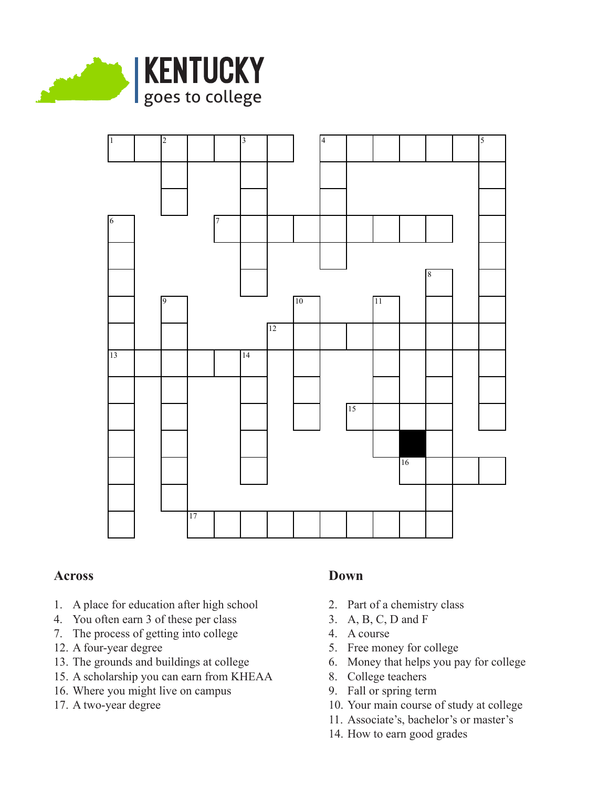



## **Across**

- 1. A place for education after high school
- 4. You often earn 3 of these per class
- 7. The process of getting into college
- 12. A four-year degree
- 13. The grounds and buildings at college
- 15. A scholarship you can earn from KHEAA
- 16. Where you might live on campus
- 17. A two-year degree

## **Down**

- 2. Part of a chemistry class
- 3. A, B, C, D and F
- 4. A course
- 5. Free money for college
- 6. Money that helps you pay for college
- 8. College teachers
- 9. Fall or spring term
- 10. Your main course of study at college
- 11. Associate's, bachelor's or master's
- 14. How to earn good grades